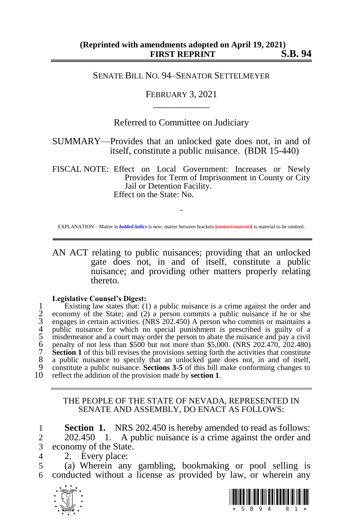## SENATE BILL NO. 94–SENATOR SETTELMEYER

## FEBRUARY 3, 2021 \_\_\_\_\_\_\_\_\_\_\_\_

Referred to Committee on Judiciary

SUMMARY—Provides that an unlocked gate does not, in and of itself, constitute a public nuisance. (BDR 15-440)

FISCAL NOTE: Effect on Local Government: Increases or Newly Provides for Term of Imprisonment in County or City Jail or Detention Facility. Effect on the State: No.

~ EXPLANATION – Matter in *bolded italics* is new; matter between brackets **[**omitted material**]** is material to be omitted.

AN ACT relating to public nuisances; providing that an unlocked gate does not, in and of itself, constitute a public nuisance; and providing other matters properly relating thereto.

## **Legislative Counsel's Digest:**

1 Existing law states that: (1) a public nuisance is a crime against the order and<br>
2 economy of the State; and (2) a person commits a public nuisance if he or she<br>
engages in certain activities. (NRS 202.450) A person wh 2 economy of the State; and  $(2)$  a person commits a public nuisance if he or she 3 engages in certain activities. (NRS 202.450) A person who commits or maintains a public nuisance for which no special punishment is prescribed is guilty of a misdemeanor and a court may order the person to abate the nuisance and pay a civil penalty of not less than \$500 but not more than \$5,000. (NRS  $202.470$ ,  $202.480$ ) **Fig. 7 Section 1** of this bill revises the provisions setting forth the activities that constitute 8 a public nuisance to specify that an unlocked gate does not, in and of itself, 8 a public nuisance to specify that an unlocked gate does not, in and of itself, 9 constitute a public nuisance. **Sections 3-5** of this bill make conforming changes to 10 reflect the addition of the provision made by **section 1**.

## THE PEOPLE OF THE STATE OF NEVADA, REPRESENTED IN SENATE AND ASSEMBLY, DO ENACT AS FOLLOWS:

1 **Section 1.** NRS 202.450 is hereby amended to read as follows: 2 202.450 1. A public nuisance is a crime against the order and 3 economy of the State.

4 2. Every place:

5 (a) Wherein any gambling, bookmaking or pool selling is 6 conducted without a license as provided by law, or wherein any



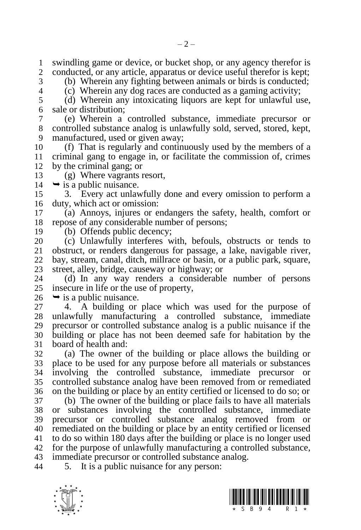1 swindling game or device, or bucket shop, or any agency therefor is<br>2 conducted, or any article, apparatus or device useful therefor is kent: conducted, or any article, apparatus or device useful therefor is kept;

(b) Wherein any fighting between animals or birds is conducted;

(c) Wherein any dog races are conducted as a gaming activity;

 (d) Wherein any intoxicating liquors are kept for unlawful use, sale or distribution;

 (e) Wherein a controlled substance, immediate precursor or controlled substance analog is unlawfully sold, served, stored, kept, manufactured, used or given away;

 (f) That is regularly and continuously used by the members of a criminal gang to engage in, or facilitate the commission of, crimes by the criminal gang; or

(g) Where vagrants resort,

 $14 \rightarrow$  is a public nuisance.

 3. Every act unlawfully done and every omission to perform a duty, which act or omission:

 (a) Annoys, injures or endangers the safety, health, comfort or repose of any considerable number of persons;

(b) Offends public decency;

 (c) Unlawfully interferes with, befouls, obstructs or tends to obstruct, or renders dangerous for passage, a lake, navigable river, bay, stream, canal, ditch, millrace or basin, or a public park, square, 23 street, alley, bridge, causeway or highway; or 24 (d) In any way renders a considerable

 (d) In any way renders a considerable number of persons insecure in life or the use of property,

 $26 \rightarrow$  is a public nuisance.

 4. A building or place which was used for the purpose of unlawfully manufacturing a controlled substance, immediate precursor or controlled substance analog is a public nuisance if the building or place has not been deemed safe for habitation by the board of health and:

 (a) The owner of the building or place allows the building or place to be used for any purpose before all materials or substances involving the controlled substance, immediate precursor or controlled substance analog have been removed from or remediated on the building or place by an entity certified or licensed to do so; or

 (b) The owner of the building or place fails to have all materials or substances involving the controlled substance, immediate precursor or controlled substance analog removed from or remediated on the building or place by an entity certified or licensed to do so within 180 days after the building or place is no longer used for the purpose of unlawfully manufacturing a controlled substance, immediate precursor or controlled substance analog.

5. It is a public nuisance for any person:

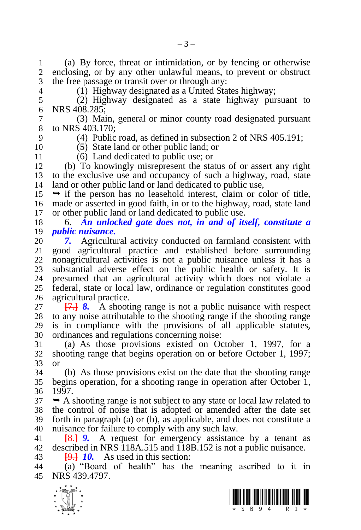(a) By force, threat or intimidation, or by fencing or otherwise enclosing, or by any other unlawful means, to prevent or obstruct the free passage or transit over or through any:

 $(1)$  Highway designated as a United States highway;

 (2) Highway designated as a state highway pursuant to NRS 408.285;

 (3) Main, general or minor county road designated pursuant to NRS 403.170;

(4) Public road, as defined in subsection 2 of NRS 405.191;

(5) State land or other public land; or

(6) Land dedicated to public use; or

 (b) To knowingly misrepresent the status of or assert any right to the exclusive use and occupancy of such a highway, road, state land or other public land or land dedicated to public use,

 $15 \rightarrow$  if the person has no leasehold interest, claim or color of title, made or asserted in good faith, in or to the highway, road, state land or other public land or land dedicated to public use.

 6. *An unlocked gate does not, in and of itself, constitute a public nuisance.* 

 *7.* Agricultural activity conducted on farmland consistent with good agricultural practice and established before surrounding nonagricultural activities is not a public nuisance unless it has a 23 substantial adverse effect on the public health or safety. It is 24 presumed that an agricultural activity which does not violate a presumed that an agricultural activity which does not violate a federal, state or local law, ordinance or regulation constitutes good agricultural practice.

 **[**7.**]** *8.* A shooting range is not a public nuisance with respect to any noise attributable to the shooting range if the shooting range is in compliance with the provisions of all applicable statutes, ordinances and regulations concerning noise:

 (a) As those provisions existed on October 1, 1997, for a shooting range that begins operation on or before October 1, 1997; or

 (b) As those provisions exist on the date that the shooting range begins operation, for a shooting range in operation after October 1, 1997.

 $37 \rightarrow A$  shooting range is not subject to any state or local law related to the control of noise that is adopted or amended after the date set forth in paragraph (a) or (b), as applicable, and does not constitute a nuisance for failure to comply with any such law.

 **[**8.**]** *9.* A request for emergency assistance by a tenant as described in NRS 118A.515 and 118B.152 is not a public nuisance.

**[**9.**]** *10.* As used in this section:

 (a) "Board of health" has the meaning ascribed to it in NRS 439.4797.



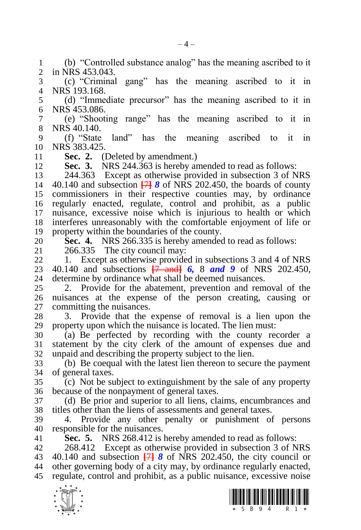(b) "Controlled substance analog" has the meaning ascribed to it in NRS 453.043.

 (c) "Criminal gang" has the meaning ascribed to it in NRS 193.168.

 (d) "Immediate precursor" has the meaning ascribed to it in NRS 453.086.

 (e) "Shooting range" has the meaning ascribed to it in NRS 40.140.

 (f) "State land" has the meaning ascribed to it in NRS 383.425.

11 **Sec. 2.** (Deleted by amendment.)<br>12 **Sec. 3.** NRS 244.363 is hereby an

**Sec. 3.** NRS 244.363 is hereby amended to read as follows:

 244.363 Except as otherwise provided in subsection 3 of NRS 40.140 and subsection **[**7**]** *8* of NRS 202.450, the boards of county commissioners in their respective counties may, by ordinance regularly enacted, regulate, control and prohibit, as a public nuisance, excessive noise which is injurious to health or which interferes unreasonably with the comfortable enjoyment of life or property within the boundaries of the county.

20 **Sec. 4.** NRS 266.335 is hereby amended to read as follows:<br>21 266.335 The city council may:

266.335 The city council may:

 1. Except as otherwise provided in subsections 3 and 4 of NRS 23 40.140 and subsections  $\frac{7}{7}$  and **6**, 8 and 9 of NRS 202.450, 24 determine by ordinance what shall be deemed nuisances. determine by ordinance what shall be deemed nuisances.

 2. Provide for the abatement, prevention and removal of the nuisances at the expense of the person creating, causing or committing the nuisances.

 3. Provide that the expense of removal is a lien upon the property upon which the nuisance is located. The lien must:

 (a) Be perfected by recording with the county recorder a statement by the city clerk of the amount of expenses due and unpaid and describing the property subject to the lien.

 (b) Be coequal with the latest lien thereon to secure the payment of general taxes.

 (c) Not be subject to extinguishment by the sale of any property because of the nonpayment of general taxes.

 (d) Be prior and superior to all liens, claims, encumbrances and titles other than the liens of assessments and general taxes.

 4. Provide any other penalty or punishment of persons responsible for the nuisances.

**Sec. 5.** NRS 268.412 is hereby amended to read as follows:

 268.412 Except as otherwise provided in subsection 3 of NRS 40.140 and subsection **[**7**]** *8* of NRS 202.450, the city council or other governing body of a city may, by ordinance regularly enacted, regulate, control and prohibit, as a public nuisance, excessive noise